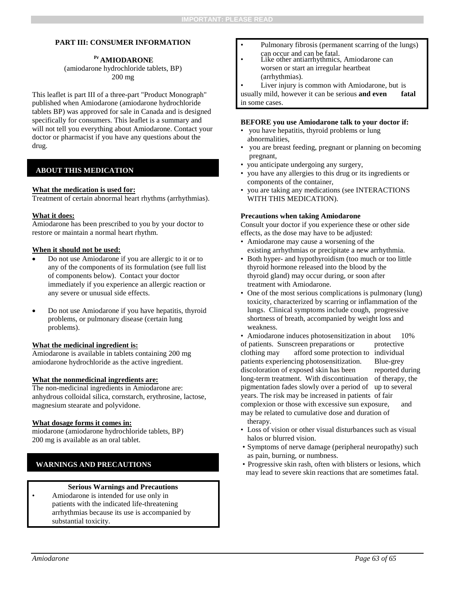# **PART III: CONSUMER INFORMATION**

# **Pr AMIODARONE**

(amiodarone hydrochloride tablets, BP) 200 mg

This leaflet is part III of a three-part "Product Monograph" published when Amiodarone (amiodarone hydrochloride tablets BP) was approved for sale in Canada and is designed specifically for consumers. This leaflet is a summary and will not tell you everything about Amiodarone. Contact your doctor or pharmacist if you have any questions about the drug.

# **ABOUT THIS MEDICATION**

# **What the medication is used for:**

Treatment of certain abnormal heart rhythms (arrhythmias).

# **What it does:**

Amiodarone has been prescribed to you by your doctor to restore or maintain a normal heart rhythm.

# **When it should not be used:**

- Do not use Amiodarone if you are allergic to it or to any of the components of its formulation (see full list of components below). Contact your doctor immediately if you experience an allergic reaction or any severe or unusual side effects.
- Do not use Amiodarone if you have hepatitis, thyroid problems, or pulmonary disease (certain lung problems).

# **What the medicinal ingredient is:**

Amiodarone is available in tablets containing 200 mg amiodarone hydrochloride as the active ingredient.

# **What the nonmedicinal ingredients are:**

The non-medicinal ingredients in Amiodarone are: anhydrous colloidal silica, cornstarch, erythrosine, lactose, magnesium stearate and polyvidone.

# **What dosage forms it comes in:**

miodarone (amiodarone hydrochloride tablets, BP) 200 mg is available as an oral tablet.

# **WARNINGS AND PRECAUTIONS**

# **Serious Warnings and Precautions**

• Amiodarone is intended for use only in patients with the indicated life-threatening arrhythmias because its use is accompanied by substantial toxicity.

- Pulmonary fibrosis (permanent scarring of the lungs) can occur and can be fatal.<br>Like other antiarrhythmics, Amiodarone can
- worsen or start an irregular heartbeat (arrhythmias).

Liver injury is common with Amiodarone, but is usually mild, however it can be serious **and even fatal** in some cases.

### **BEFORE you use Amiodarone talk to your doctor if:**

- you have hepatitis, thyroid problems or lung abnormalities,
- you are breast feeding, pregnant or planning on becoming pregnant,
- you anticipate undergoing any surgery,
- you have any allergies to this drug or its ingredients or components of the container,
- you are taking any medications (see INTERACTIONS WITH THIS MEDICATION).

# **Precautions when taking Amiodarone**

Consult your doctor if you experience these or other side effects, as the dose may have to be adjusted:

- Amiodarone may cause a worsening of the existing arrhythmias or precipitate a new arrhythmia.
- Both hyper- and hypothyroidism (too much or too little thyroid hormone released into the blood by the thyroid gland) may occur during, or soon after treatment with Amiodarone.
- One of the most serious complications is pulmonary (lung) toxicity, characterized by scarring or inflammation of the lungs. Clinical symptoms include cough, progressive shortness of breath, accompanied by weight loss and weakness.
- Amiodarone induces photosensitization in about 10% of patients. Sunscreen preparations or protective clothing may afford some protection to individual patients experiencing photosensitization. Blue-grey discoloration of exposed skin has been reported during long-term treatment. With discontinuation of therapy, the pigmentation fades slowly over a period of up to several years. The risk may be increased in patients of fair complexion or those with excessive sun exposure, and may be related to cumulative dose and duration of therapy.
- Loss of vision or other visual disturbances such as visual halos or blurred vision.
- Symptoms of nerve damage (peripheral neuropathy) such as pain, burning, or numbness.
- Progressive skin rash, often with blisters or lesions, which may lead to severe skin reactions that are sometimes fatal.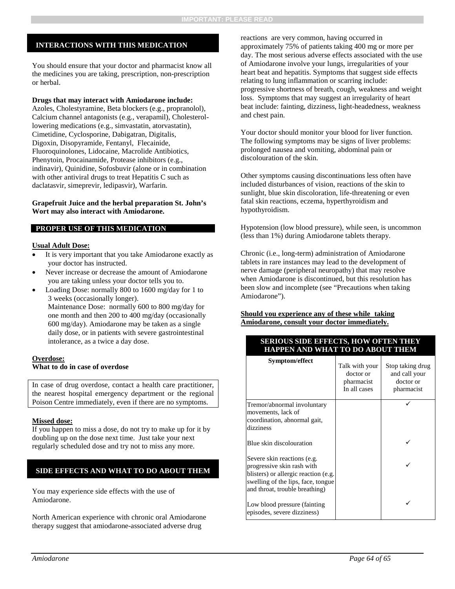# **INTERACTIONS WITH THIS MEDICATION**

You should ensure that your doctor and pharmacist know all the medicines you are taking, prescription, non-prescription or herbal.

#### **Drugs that may interact with Amiodarone include:**

Azoles, Cholestyramine, Beta blockers (e.g., propranolol), Calcium channel antagonists (e.g., verapamil), Cholesterollowering medications (e.g., simvastatin, atorvastatin), Cimetidine, Cyclosporine, Dabigatran, Digitalis, Digoxin, Disopyramide, Fentanyl, Flecainide, Fluoroquinolones, Lidocaine, Macrolide Antibiotics, Phenytoin, Procainamide, Protease inhibitors (e.g., indinavir), Quinidine, Sofosbuvir (alone or in combination with other antiviral drugs to treat Hepatitis C such as daclatasvir, simeprevir, ledipasvir), Warfarin.

## **Grapefruit Juice and the herbal preparation St. John's Wort may also interact with Amiodarone.**

# **PROPER USE OF THIS MEDICATION**

#### **Usual Adult Dose:**

- It is very important that you take Amiodarone exactly as your doctor has instructed.
- Never increase or decrease the amount of Amiodarone you are taking unless your doctor tells you to.
- Loading Dose: normally 800 to 1600 mg/day for 1 to 3 weeks (occasionally longer). Maintenance Dose: normally 600 to 800 mg/day for one month and then 200 to 400 mg/day (occasionally 600 mg/day). Amiodarone may be taken as a single daily dose, or in patients with severe gastrointestinal intolerance, as a twice a day dose.

#### **Overdose: What to do in case of overdose**

In case of drug overdose, contact a health care practitioner, the nearest hospital emergency department or the regional Poison Centre immediately, even if there are no symptoms.

# **Missed dose:**

If you happen to miss a dose, do not try to make up for it by doubling up on the dose next time. Just take your next regularly scheduled dose and try not to miss any more.

# **SIDE EFFECTS AND WHAT TO DO ABOUT THEM**

You may experience side effects with the use of Amiodarone.

North American experience with chronic oral Amiodarone therapy suggest that amiodarone-associated adverse drug

reactions are very common, having occurred in approximately 75% of patients taking 400 mg or more per day. The most serious adverse effects associated with the use of Amiodarone involve your lungs, irregularities of your heart beat and hepatitis. Symptoms that suggest side effects relating to lung inflammation or scarring include: progressive shortness of breath, cough, weakness and weight loss. Symptoms that may suggest an irregularity of heart beat include: fainting, dizziness, light-headedness, weakness and chest pain.

Your doctor should monitor your blood for liver function. The following symptoms may be signs of liver problems: prolonged nausea and vomiting, abdominal pain or discolouration of the skin.

Other symptoms causing discontinuations less often have included disturbances of vision, reactions of the skin to sunlight, blue skin discoloration, life-threatening or even fatal skin reactions, eczema, hyperthyroidism and hypothyroidism.

Hypotension (low blood pressure), while seen, is uncommon (less than 1%) during Amiodarone tablets therapy.

Chronic (i.e., long-term) administration of Amiodarone tablets in rare instances may lead to the development of nerve damage (peripheral neuropathy) that may resolve when Amiodarone is discontinued, but this resolution has been slow and incomplete (see "Precautions when taking Amiodarone").

# **Should you experience any of these while taking Amiodarone, consult your doctor immediately.**

# **SERIOUS SIDE EFFECTS, HOW OFTEN THEY HAPPEN AND WHAT TO DO ABOUT THEM**

| Symptom/effect                                                                                                                             | Talk with your<br>doctor or<br>pharmacist<br>In all cases | Stop taking drug<br>and call your<br>doctor or<br>pharmacist |
|--------------------------------------------------------------------------------------------------------------------------------------------|-----------------------------------------------------------|--------------------------------------------------------------|
| Tremor/abnormal involuntary<br>movements, lack of<br>coordination, abnormal gait,                                                          |                                                           |                                                              |
| dizziness                                                                                                                                  |                                                           |                                                              |
| Blue skin discolouration<br>Severe skin reactions (e.g.                                                                                    |                                                           |                                                              |
| progressive skin rash with<br>blisters) or allergic reaction (e.g.<br>swelling of the lips, face, tongue<br>and throat, trouble breathing) |                                                           |                                                              |
| Low blood pressure (fainting)<br>episodes, severe dizziness)                                                                               |                                                           |                                                              |